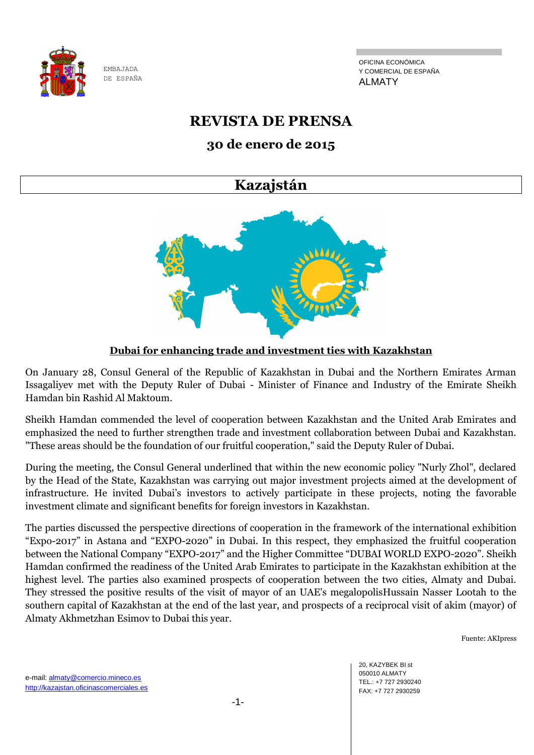

OFICINA ECONÓMICA Y COMERCIAL DE ESPAÑA ALMATY

# **REVISTA DE PRENSA**

# **30 de enero de 2015**

# **Kazajstán**



# **Dubai for enhancing trade and investment ties with Kazakhstan**

On January 28, Consul General of the Republic of Kazakhstan in Dubai and the Northern Emirates Arman Issagaliyev met with the Deputy Ruler of Dubai - Minister of Finance and Industry of the Emirate Sheikh Hamdan bin Rashid Al Maktoum.

Sheikh Hamdan commended the level of cooperation between Kazakhstan and the United Arab Emirates and emphasized the need to further strengthen trade and investment collaboration between Dubai and Kazakhstan. "These areas should be the foundation of our fruitful cooperation," said the Deputy Ruler of Dubai.

During the meeting, the Consul General underlined that within the new economic policy "Nurly Zhol", declared by the Head of the State, Kazakhstan was carrying out major investment projects aimed at the development of infrastructure. He invited Dubai's investors to actively participate in these projects, noting the favorable investment climate and significant benefits for foreign investors in Kazakhstan.

The parties discussed the perspective directions of cooperation in the framework of the international exhibition "Expo-2017" in Astana and "EXPO-2020" in Dubai. In this respect, they emphasized the fruitful cooperation between the National Company "EXPO-2017" and the Higher Committee "DUBAI WORLD EXPO-2020". Sheikh Hamdan confirmed the readiness of the United Arab Emirates to participate in the Kazakhstan exhibition at the highest level. The parties also examined prospects of cooperation between the two cities, Almaty and Dubai. They stressed the positive results of the visit of mayor of an UAE's megalopolisHussain Nasser Lootah to the southern capital of Kazakhstan at the end of the last year, and prospects of a reciprocal visit of akim (mayor) of Almaty Akhmetzhan Esimov to Dubai this year.

Fuente: AKIpress

20, KAZYBEK BI st 050010 ALMATY TEL.: +7 727 2930240 FAX: +7 727 2930259

e-mail: almaty@comercio.mineco.es http://kazajstan.oficinascomerciales.es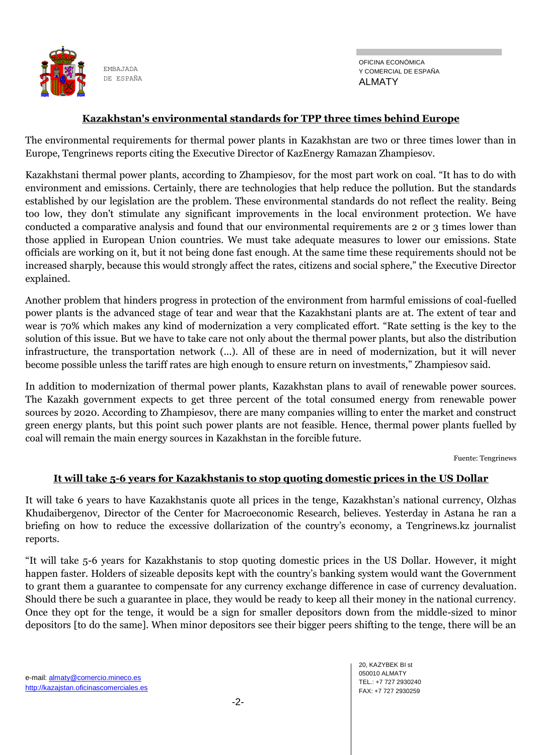

#### **Kazakhstan's environmental standards for TPP three times behind Europe**

The environmental requirements for thermal power plants in Kazakhstan are two or three times lower than in Europe, Tengrinews reports citing the Executive Director of KazEnergy Ramazan Zhampiesov.

Kazakhstani thermal power plants, according to Zhampiesov, for the most part work on coal. "It has to do with environment and emissions. Certainly, there are technologies that help reduce the pollution. But the standards established by our legislation are the problem. These environmental standards do not reflect the reality. Being too low, they don't stimulate any significant improvements in the local environment protection. We have conducted a comparative analysis and found that our environmental requirements are 2 or 3 times lower than those applied in European Union countries. We must take adequate measures to lower our emissions. State officials are working on it, but it not being done fast enough. At the same time these requirements should not be increased sharply, because this would strongly affect the rates, citizens and social sphere," the Executive Director explained.

Another problem that hinders progress in protection of the environment from harmful emissions of coal-fuelled power plants is the advanced stage of tear and wear that the Kazakhstani plants are at. The extent of tear and wear is 70% which makes any kind of modernization a very complicated effort. "Rate setting is the key to the solution of this issue. But we have to take care not only about the thermal power plants, but also the distribution infrastructure, the transportation network (...). All of these are in need of modernization, but it will never become possible unless the tariff rates are high enough to ensure return on investments," Zhampiesov said.

In addition to modernization of thermal power plants, Kazakhstan plans to avail of renewable power sources. The Kazakh government expects to get three percent of the total consumed energy from renewable power sources by 2020. According to Zhampiesov, there are many companies willing to enter the market and construct green energy plants, but this point such power plants are not feasible. Hence, thermal power plants fuelled by coal will remain the main energy sources in Kazakhstan in the forcible future.

Fuente: Tengrinews

#### **It will take 5-6 years for Kazakhstanis to stop quoting domestic prices in the US Dollar**

It will take 6 years to have Kazakhstanis quote all prices in the tenge, Kazakhstan's national currency, Olzhas Khudaibergenov, Director of the Center for Macroeconomic Research, believes. Yesterday in Astana he ran a briefing on how to reduce the excessive dollarization of the country's economy, a Tengrinews.kz journalist reports.

―It will take 5-6 years for Kazakhstanis to stop quoting domestic prices in the US Dollar. However, it might happen faster. Holders of sizeable deposits kept with the country's banking system would want the Government to grant them a guarantee to compensate for any currency exchange difference in case of currency devaluation. Should there be such a guarantee in place, they would be ready to keep all their money in the national currency. Once they opt for the tenge, it would be a sign for smaller depositors down from the middle-sized to minor depositors [to do the same]. When minor depositors see their bigger peers shifting to the tenge, there will be an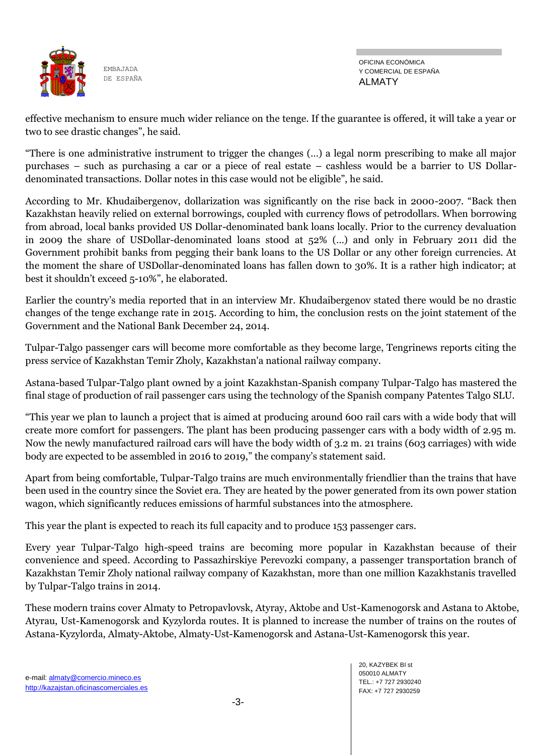

OFICINA ECONÓMICA Y COMERCIAL DE ESPAÑA ALMATY

effective mechanism to ensure much wider reliance on the tenge. If the guarantee is offered, it will take a year or two to see drastic changes", he said.

―There is one administrative instrument to trigger the changes (…) a legal norm prescribing to make all major purchases – such as purchasing a car or a piece of real estate – cashless would be a barrier to US Dollardenominated transactions. Dollar notes in this case would not be eligible", he said.

According to Mr. Khudaibergenov, dollarization was significantly on the rise back in 2000-2007. "Back then Kazakhstan heavily relied on external borrowings, coupled with currency flows of petrodollars. When borrowing from abroad, local banks provided US Dollar-denominated bank loans locally. Prior to the currency devaluation in 2009 the share of USDollar-denominated loans stood at 52% (…) and only in February 2011 did the Government prohibit banks from pegging their bank loans to the US Dollar or any other foreign currencies. At the moment the share of USDollar-denominated loans has fallen down to 30%. It is a rather high indicator; at best it shouldn't exceed 5-10%", he elaborated.

Earlier the country's media reported that in an interview Mr. Khudaibergenov stated there would be no drastic changes of the tenge exchange rate in 2015. According to him, the conclusion rests on the joint statement of the Government and the National Bank December 24, 2014.

Tulpar-Talgo passenger cars will become more comfortable as they become large, Tengrinews reports citing the press service of Kazakhstan Temir Zholy, Kazakhstan'a national railway company.

Astana-based Tulpar-Talgo plant owned by a joint Kazakhstan-Spanish company Tulpar-Talgo has mastered the final stage of production of rail passenger cars using the technology of the Spanish company Рatentes Talgo SLU.

―This year we plan to launch a project that is aimed at producing around 600 rail cars with a wide body that will create more comfort for passengers. The plant has been producing passenger cars with a body width of 2.95 m. Now the newly manufactured railroad cars will have the body width of 3.2 m. 21 trains (603 carriages) with wide body are expected to be assembled in 2016 to 2019," the company's statement said.

Apart from being comfortable, Tulpar-Talgo trains are much environmentally friendlier than the trains that have been used in the country since the Soviet era. They are heated by the power generated from its own power station wagon, which significantly reduces emissions of harmful substances into the atmosphere.

This year the plant is expected to reach its full capacity and to produce 153 passenger cars.

Every year Tulpar-Talgo high-speed trains are becoming more popular in Kazakhstan because of their convenience and speed. According to Passazhirskiye Perevozki company, a passenger transportation branch of Kazakhstan Temir Zholy national railway company of Kazakhstan, more than one million Kazakhstanis travelled by Tulpar-Talgo trains in 2014.

These modern trains cover Almaty to Petropavlovsk, Atyray, Aktobe and Ust-Kamenogorsk and Astana to Aktobe, Atyrau, Ust-Kamenogorsk and Kyzylorda routes. It is planned to increase the number of trains on the routes of Astana-Kyzylorda, Almaty-Aktobe, Almaty-Ust-Kamenogorsk and Astana-Ust-Kamenogorsk this year.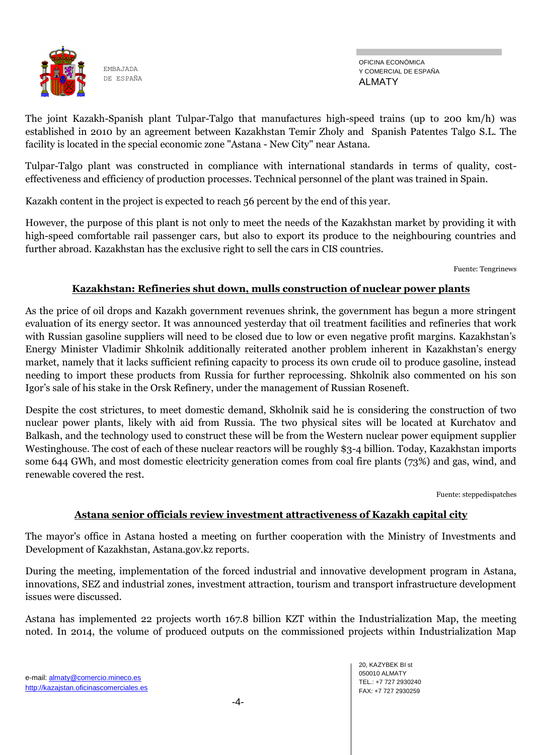

The joint Kazakh-Spanish plant Tulpar-Talgo that manufactures high-speed trains (up to 200 km/h) was established in 2010 by an agreement between Kazakhstan Temir Zholy and Spanish Patentes Talgo S.L. The facility is located in the special economic zone "Astana - New City" near Astana.

Tulpar-Talgo plant was constructed in compliance with international standards in terms of quality, costeffectiveness and efficiency of production processes. Technical personnel of the plant was trained in Spain.

Kazakh content in the project is expected to reach 56 percent by the end of this year.

However, the purpose of this plant is not only to meet the needs of the Kazakhstan market by providing it with high-speed comfortable rail passenger cars, but also to export its produce to the neighbouring countries and further abroad. Kazakhstan has the exclusive right to sell the cars in CIS countries.

Fuente: Tengrinews

#### **Kazakhstan: Refineries shut down, mulls construction of nuclear power plants**

As the price of oil drops and Kazakh government revenues shrink, the government has begun a more stringent evaluation of its energy sector. It was announced yesterday that oil treatment facilities and refineries that work with Russian gasoline suppliers will need to be closed due to low or even negative profit margins. Kazakhstan's Energy Minister Vladimir Shkolnik additionally reiterated another problem inherent in Kazakhstan's energy market, namely that it lacks sufficient refining capacity to process its own crude oil to produce gasoline, instead needing to import these products from Russia for further reprocessing. Shkolnik also commented on his son Igor's sale of his stake in the Orsk Refinery, under the management of Russian Roseneft.

Despite the cost strictures, to meet domestic demand, Skholnik said he is considering the construction of two nuclear power plants, likely with aid from Russia. The two physical sites will be located at Kurchatov and Balkash, and the technology used to construct these will be from the Western nuclear power equipment supplier Westinghouse. The cost of each of these nuclear reactors will be roughly \$3-4 billion. Today, Kazakhstan imports some 644 GWh, and most domestic electricity generation comes from coal fire plants (73%) and gas, wind, and renewable covered the rest.

Fuente: steppedispatches

#### **Astana senior officials review investment attractiveness of Kazakh capital city**

The mayor's office in Astana hosted a meeting on further cooperation with the Ministry of Investments and Development of Kazakhstan, Astana.gov.kz reports.

During the meeting, implementation of the forced industrial and innovative development program in Astana, innovations, SEZ and industrial zones, investment attraction, tourism and transport infrastructure development issues were discussed.

Astana has implemented 22 projects worth 167.8 billion KZT within the Industrialization Map, the meeting noted. In 2014, the volume of produced outputs on the commissioned projects within Industrialization Map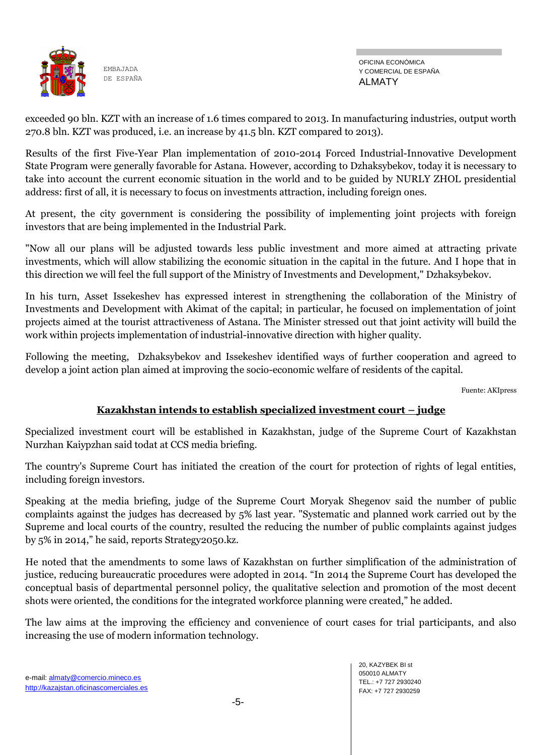

OFICINA ECONÓMICA Y COMERCIAL DE ESPAÑA ALMATY

exceeded 90 bln. KZT with an increase of 1.6 times compared to 2013. In manufacturing industries, output worth 270.8 bln. KZT was produced, i.e. an increase by 41.5 bln. KZT compared to 2013).

Results of the first Five-Year Plan implementation of 2010-2014 Forced Industrial-Innovative Development State Program were generally favorable for Astana. However, according to Dzhaksybekov, today it is necessary to take into account the current economic situation in the world and to be guided by NURLY ZHOL presidential address: first of all, it is necessary to focus on investments attraction, including foreign ones.

At present, the city government is considering the possibility of implementing joint projects with foreign investors that are being implemented in the Industrial Park.

"Now all our plans will be adjusted towards less public investment and more aimed at attracting private investments, which will allow stabilizing the economic situation in the capital in the future. And I hope that in this direction we will feel the full support of the Ministry of Investments and Development," Dzhaksybekov.

In his turn, Asset Issekeshev has expressed interest in strengthening the collaboration of the Ministry of Investments and Development with Akimat of the capital; in particular, he focused on implementation of joint projects aimed at the tourist attractiveness of Astana. The Minister stressed out that joint activity will build the work within projects implementation of industrial-innovative direction with higher quality.

Following the meeting, Dzhaksybekov and Issekeshev identified ways of further cooperation and agreed to develop a joint action plan aimed at improving the socio-economic welfare of residents of the capital.

Fuente: AKIpress

#### **Kazakhstan intends to establish specialized investment court – judge**

Specialized investment court will be established in Kazakhstan, judge of the Supreme Court of Kazakhstan Nurzhan Kaiypzhan said todat at CCS media briefing.

The country's Supreme Court has initiated the creation of the court for protection of rights of legal entities, including foreign investors.

Speaking at the media briefing, judge of the Supreme Court Moryak Shegenov said the number of public complaints against the judges has decreased by 5% last year. "Systematic and planned work carried out by the Supreme and local courts of the country, resulted the reducing the number of public complaints against judges by  $5\%$  in 2014," he said, reports Strategy2050.kz.

He noted that the amendments to some laws of Kazakhstan on further simplification of the administration of justice, reducing bureaucratic procedures were adopted in 2014. "In 2014 the Supreme Court has developed the conceptual basis of departmental personnel policy, the qualitative selection and promotion of the most decent shots were oriented, the conditions for the integrated workforce planning were created," he added.

The law aims at the improving the efficiency and convenience of court cases for trial participants, and also increasing the use of modern information technology.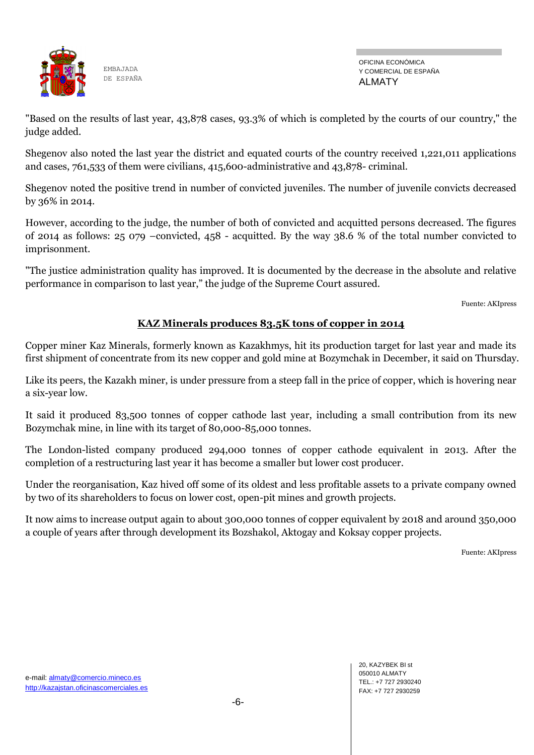

OFICINA ECONÓMICA Y COMERCIAL DE ESPAÑA ALMATY

"Based on the results of last year, 43,878 cases, 93.3% of which is completed by the courts of our country," the judge added.

Shegenov also noted the last year the district and equated courts of the country received 1,221,011 applications and cases, 761,533 of them were civilians, 415,600-administrative and 43,878- criminal.

Shegenov noted the positive trend in number of convicted juveniles. The number of juvenile convicts decreased by 36% in 2014.

However, according to the judge, the number of both of convicted and acquitted persons decreased. The figures of 2014 as follows: 25 079 –convicted, 458 - acquitted. By the way 38.6 % of the total number convicted to imprisonment.

"The justice administration quality has improved. It is documented by the decrease in the absolute and relative performance in comparison to last year," the judge of the Supreme Court assured.

Fuente: AKIpress

#### **KAZ Minerals produces 83.5K tons of copper in 2014**

Copper miner Kaz Minerals, formerly known as Kazakhmys, hit its production target for last year and made its first shipment of concentrate from its new copper and gold mine at Bozymchak in December, it said on Thursday.

Like its peers, the Kazakh miner, is under pressure from a steep fall in the price of copper, which is hovering near a six-year low.

It said it produced 83,500 tonnes of copper cathode last year, including a small contribution from its new Bozymchak mine, in line with its target of 80,000-85,000 tonnes.

The London-listed company produced 294,000 tonnes of copper cathode equivalent in 2013. After the completion of a restructuring last year it has become a smaller but lower cost producer.

Under the reorganisation, Kaz hived off some of its oldest and less profitable assets to a private company owned by two of its shareholders to focus on lower cost, open-pit mines and growth projects.

It now aims to increase output again to about 300,000 tonnes of copper equivalent by 2018 and around 350,000 a couple of years after through development its Bozshakol, Aktogay and Koksay copper projects.

Fuente: AKIpress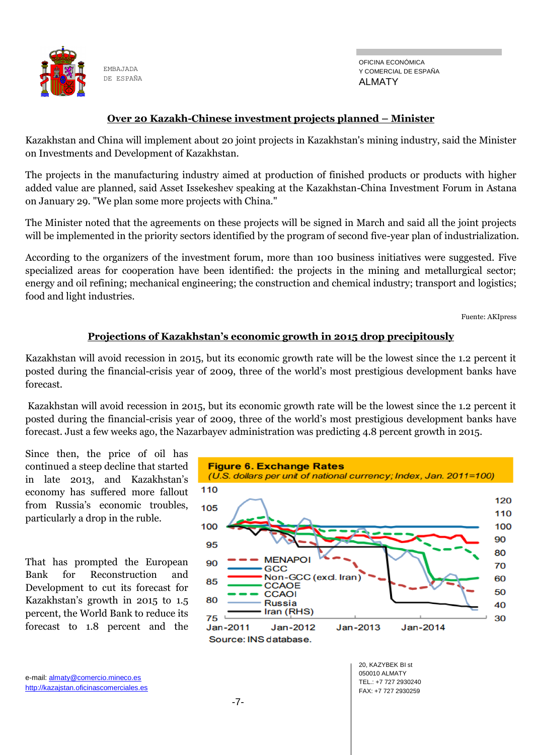

OFICINA ECONÓMICA Y COMERCIAL DE ESPAÑA ALMATY

#### **Over 20 Kazakh-Chinese investment projects planned – Minister**

Kazakhstan and China will implement about 20 joint projects in Kazakhstan's mining industry, said the Minister on Investments and Development of Kazakhstan.

The projects in the manufacturing industry aimed at production of finished products or products with higher added value are planned, said Asset Issekeshev speaking at the Kazakhstan-China Investment Forum in Astana on January 29. "We plan some more projects with China."

The Minister noted that the agreements on these projects will be signed in March and said all the joint projects will be implemented in the priority sectors identified by the program of second five-year plan of industrialization.

According to the organizers of the investment forum, more than 100 business initiatives were suggested. Five specialized areas for cooperation have been identified: the projects in the mining and metallurgical sector; energy and oil refining; mechanical engineering; the construction and chemical industry; transport and logistics; food and light industries.

Fuente: AKIpress

#### **Projections of Kazakhstan's economic growth in 2015 drop precipitously**

Kazakhstan will avoid recession in 2015, but its economic growth rate will be the lowest since the 1.2 percent it posted during the financial-crisis year of 2009, three of the world's most prestigious development banks have forecast.

Kazakhstan will avoid recession in 2015, but its economic growth rate will be the lowest since the 1.2 percent it posted during the financial-crisis year of 2009, three of the world's most prestigious development banks have forecast. Just a few weeks ago, the Nazarbayev administration was predicting 4.8 percent growth in 2015.

Since then, the price of oil has continued a steep decline that started in late 2013, and Kazakhstan's economy has suffered more fallout from Russia's economic troubles, particularly a drop in the ruble.

That has prompted the European Bank for Reconstruction and Development to cut its forecast for Kazakhstan's growth in 2015 to 1.5 percent, the World Bank to reduce its forecast to 1.8 percent and the

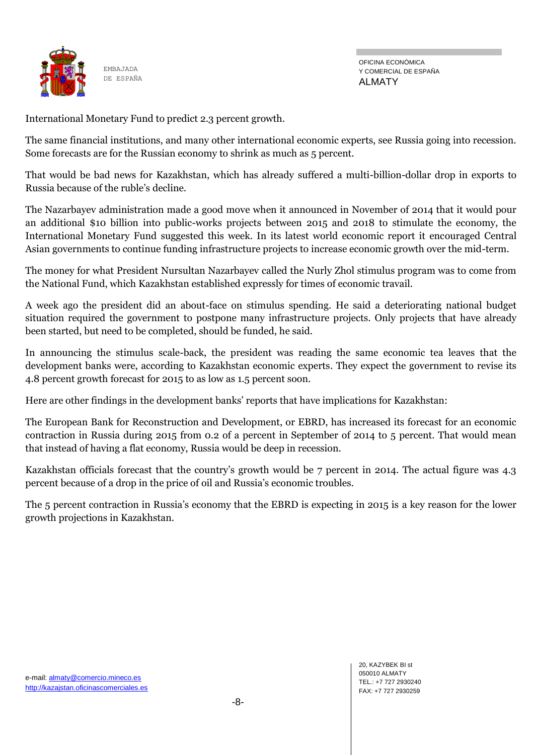

OFICINA ECONÓMICA Y COMERCIAL DE ESPAÑA ALMATY

International Monetary Fund to predict 2.3 percent growth.

The same financial institutions, and many other international economic experts, see Russia going into recession. Some forecasts are for the Russian economy to shrink as much as 5 percent.

That would be bad news for Kazakhstan, which has already suffered a multi-billion-dollar drop in exports to Russia because of the ruble's decline.

The Nazarbayev administration made a good move when it announced in November of 2014 that it would pour an additional \$10 billion into public-works projects between 2015 and 2018 to stimulate the economy, the International Monetary Fund suggested this week. In its latest world economic report it encouraged Central Asian governments to continue funding infrastructure projects to increase economic growth over the mid-term.

The money for what President Nursultan Nazarbayev called the Nurly Zhol stimulus program was to come from the National Fund, which Kazakhstan established expressly for times of economic travail.

A week ago the president did an about-face on stimulus spending. He said a deteriorating national budget situation required the government to postpone many infrastructure projects. Only projects that have already been started, but need to be completed, should be funded, he said.

In announcing the stimulus scale-back, the president was reading the same economic tea leaves that the development banks were, according to Kazakhstan economic experts. They expect the government to revise its 4.8 percent growth forecast for 2015 to as low as 1.5 percent soon.

Here are other findings in the development banks' reports that have implications for Kazakhstan:

The European Bank for Reconstruction and Development, or EBRD, has increased its forecast for an economic contraction in Russia during 2015 from 0.2 of a percent in September of 2014 to 5 percent. That would mean that instead of having a flat economy, Russia would be deep in recession.

Kazakhstan officials forecast that the country's growth would be 7 percent in 2014. The actual figure was 4.3 percent because of a drop in the price of oil and Russia's economic troubles.

The 5 percent contraction in Russia's economy that the EBRD is expecting in 2015 is a key reason for the lower growth projections in Kazakhstan.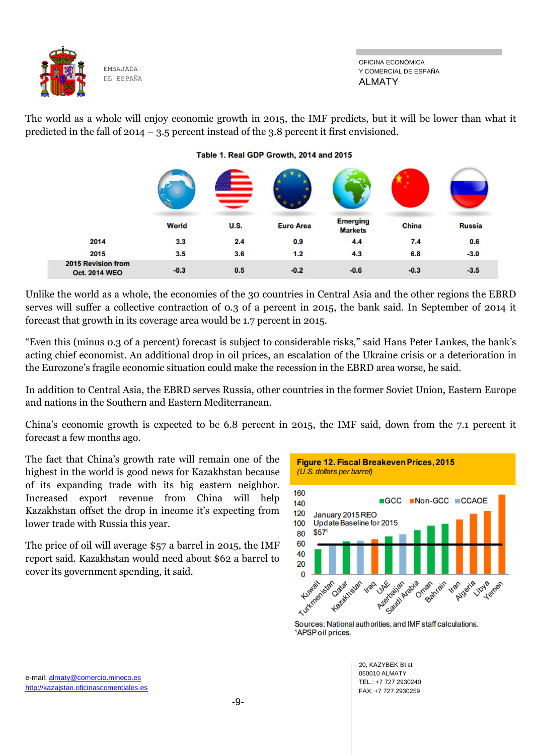

The world as a whole will enjoy economic growth in 2015, the IMF predicts, but it will be lower than what it predicted in the fall of 2014 – 3.5 percent instead of the 3.8 percent it first envisioned.

Table 1. Real GDP Growth, 2014 and 2015

|                                            | <b>World</b> | <b>U.S.</b> | <b>Euro Area</b> | <b>Emerging</b><br><b>Markets</b> | China  | <b>Russia</b> |
|--------------------------------------------|--------------|-------------|------------------|-----------------------------------|--------|---------------|
| 2014                                       | 3.3          | 2.4         | 0.9              | 4.4                               | 7.4    | 0.6           |
| 2015                                       | 3.5          | 3.6         | 1.2              | 4.3                               | 6.8    | $-3.0$        |
| 2015 Revision from<br><b>Oct. 2014 WEO</b> | $-0.3$       | 0.5         | $-0.2$           | $-0.6$                            | $-0.3$ | $-3.5$        |

Unlike the world as a whole, the economies of the 30 countries in Central Asia and the other regions the EBRD serves will suffer a collective contraction of 0.3 of a percent in 2015, the bank said. In September of 2014 it forecast that growth in its coverage area would be 1.7 percent in 2015.

"Even this (minus 0.3 of a percent) forecast is subject to considerable risks," said Hans Peter Lankes, the bank's acting chief economist. An additional drop in oil prices, an escalation of the Ukraine crisis or a deterioration in the Eurozone's fragile economic situation could make the recession in the EBRD area worse, he said.

In addition to Central Asia, the EBRD serves Russia, other countries in the former Soviet Union, Eastern Europe and nations in the Southern and Eastern Mediterranean.

China's economic growth is expected to be 6.8 percent in 2015, the IMF said, down from the 7.1 percent it forecast a few months ago.

The fact that China's growth rate will remain one of the highest in the world is good news for Kazakhstan because of its expanding trade with its big eastern neighbor. Increased export revenue from China will help Kazakhstan offset the drop in income it's expecting from lower trade with Russia this year.

The price of oil will average \$57 a barrel in 2015, the IMF report said. Kazakhstan would need about \$62 a barrel to cover its government spending, it said.



Sources: National authorities; and IMF staff calculations. <sup>1</sup>APSP oil prices.

> 20, KAZYBEK BI st 050010 ALMATY TEL.: +7 727 2930240 FAX: +7 727 2930259

e-mail: almaty@comercio.mineco.es http://kazajstan.oficinascomerciales.es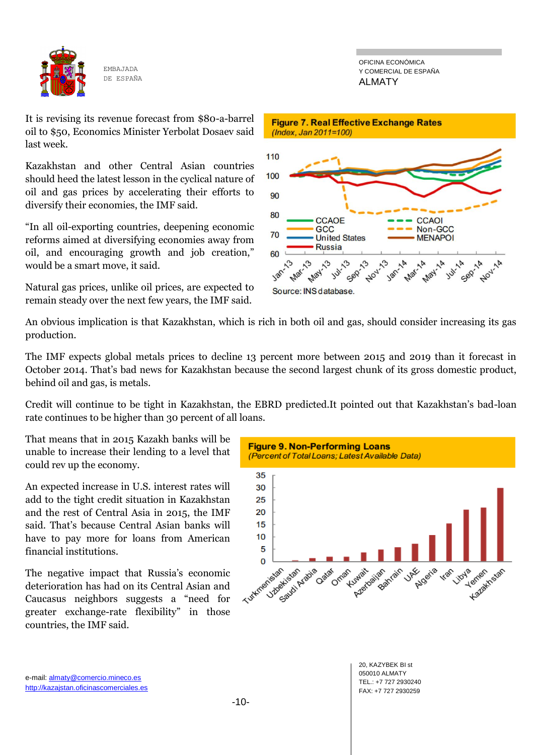

OFICINA ECONÓMICA Y COMERCIAL DE ESPAÑA ALMATY

It is revising its revenue forecast from \$80-a-barrel oil to \$50, Economics Minister Yerbolat Dosaev said last week.

Kazakhstan and other Central Asian countries should heed the latest lesson in the cyclical nature of oil and gas prices by accelerating their efforts to diversify their economies, the IMF said.

―In all oil-exporting countries, deepening economic reforms aimed at diversifying economies away from oil, and encouraging growth and job creation," would be a smart move, it said.

Natural gas prices, unlike oil prices, are expected to remain steady over the next few years, the IMF said.



An obvious implication is that Kazakhstan, which is rich in both oil and gas, should consider increasing its gas production.

The IMF expects global metals prices to decline 13 percent more between 2015 and 2019 than it forecast in October 2014. That's bad news for Kazakhstan because the second largest chunk of its gross domestic product, behind oil and gas, is metals.

Credit will continue to be tight in Kazakhstan, the EBRD predicted.It pointed out that Kazakhstan's bad-loan rate continues to be higher than 30 percent of all loans.

That means that in 2015 Kazakh banks will be unable to increase their lending to a level that could rev up the economy.

An expected increase in U.S. interest rates will add to the tight credit situation in Kazakhstan and the rest of Central Asia in 2015, the IMF said. That's because Central Asian banks will have to pay more for loans from American financial institutions.

The negative impact that Russia's economic deterioration has had on its Central Asian and Caucasus neighbors suggests a "need for greater exchange-rate flexibility" in those countries, the IMF said.



20, KAZYBEK BI st 050010 ALMATY TEL.: +7 727 2930240 FAX: +7 727 2930259

e-mail: almaty@comercio.mineco.es http://kazajstan.oficinascomerciales.es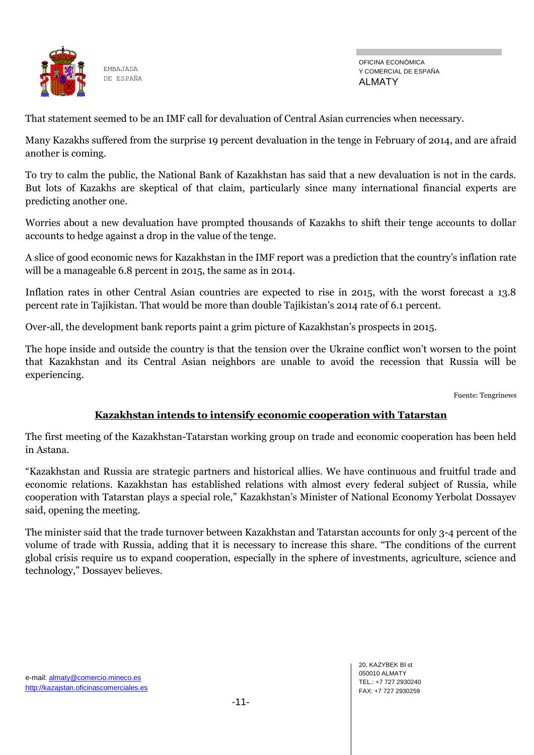

OFICINA ECONÓMICA Y COMERCIAL DE ESPAÑA ALMATY

That statement seemed to be an IMF call for devaluation of Central Asian currencies when necessary.

Many Kazakhs suffered from the surprise 19 percent devaluation in the tenge in February of 2014, and are afraid another is coming.

To try to calm the public, the National Bank of Kazakhstan has said that a new devaluation is not in the cards. But lots of Kazakhs are skeptical of that claim, particularly since many international financial experts are predicting another one.

Worries about a new devaluation have prompted thousands of Kazakhs to shift their tenge accounts to dollar accounts to hedge against a drop in the value of the tenge.

A slice of good economic news for Kazakhstan in the IMF report was a prediction that the country's inflation rate will be a manageable 6.8 percent in 2015, the same as in 2014.

Inflation rates in other Central Asian countries are expected to rise in 2015, with the worst forecast a 13.8 percent rate in Tajikistan. That would be more than double Tajikistan's 2014 rate of 6.1 percent.

Over-all, the development bank reports paint a grim picture of Kazakhstan's prospects in 2015.

The hope inside and outside the country is that the tension over the Ukraine conflict won't worsen to the point that Kazakhstan and its Central Asian neighbors are unable to avoid the recession that Russia will be experiencing.

Fuente: Tengrinews

#### **Kazakhstan intends to intensify economic cooperation with Tatarstan**

The first meeting of the Kazakhstan-Tatarstan working group on trade and economic cooperation has been held in Astana.

―Kazakhstan and Russia are strategic partners and historical allies. We have continuous and fruitful trade and economic relations. Kazakhstan has established relations with almost every federal subject of Russia, while cooperation with Tatarstan plays a special role," Kazakhstan's Minister of National Economy Yerbolat Dossayev said, opening the meeting.

The minister said that the trade turnover between Kazakhstan and Tatarstan accounts for only 3-4 percent of the volume of trade with Russia, adding that it is necessary to increase this share. "The conditions of the current global crisis require us to expand cooperation, especially in the sphere of investments, agriculture, science and technology," Dossayev believes.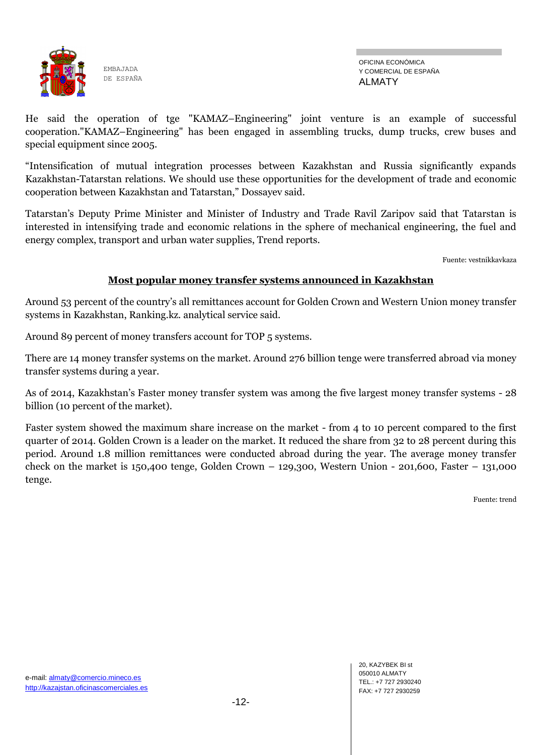

He said the operation of tge "KAMAZ–Engineering" joint venture is an example of successful cooperation."KAMAZ–Engineering" has been engaged in assembling trucks, dump trucks, crew buses and special equipment since 2005.

―Intensification of mutual integration processes between Kazakhstan and Russia significantly expands Kazakhstan-Tatarstan relations. We should use these opportunities for the development of trade and economic cooperation between Kazakhstan and Tatarstan," Dossayev said.

Tatarstan's Deputy Prime Minister and Minister of Industry and Trade Ravil Zaripov said that Tatarstan is interested in intensifying trade and economic relations in the sphere of mechanical engineering, the fuel and energy complex, transport and urban water supplies, Trend reports.

Fuente: vestnikkavkaza

#### **Most popular money transfer systems announced in Kazakhstan**

Around 53 percent of the country's all remittances account for Golden Crown and Western Union money transfer systems in Kazakhstan, Ranking.kz. analytical service said.

Around 89 percent of money transfers account for TOP 5 systems.

There are 14 money transfer systems on the market. Around 276 billion tenge were transferred abroad via money transfer systems during a year.

As of 2014, Kazakhstan's Faster money transfer system was among the five largest money transfer systems - 28 billion (10 percent of the market).

Faster system showed the maximum share increase on the market - from 4 to 10 percent compared to the first quarter of 2014. Golden Crown is a leader on the market. It reduced the share from 32 to 28 percent during this period. Around 1.8 million remittances were conducted abroad during the year. The average money transfer check on the market is 150,400 tenge, Golden Crown  $-$  129,300, Western Union  $-$  201,600, Faster  $-$  131,000 tenge.

Fuente: trend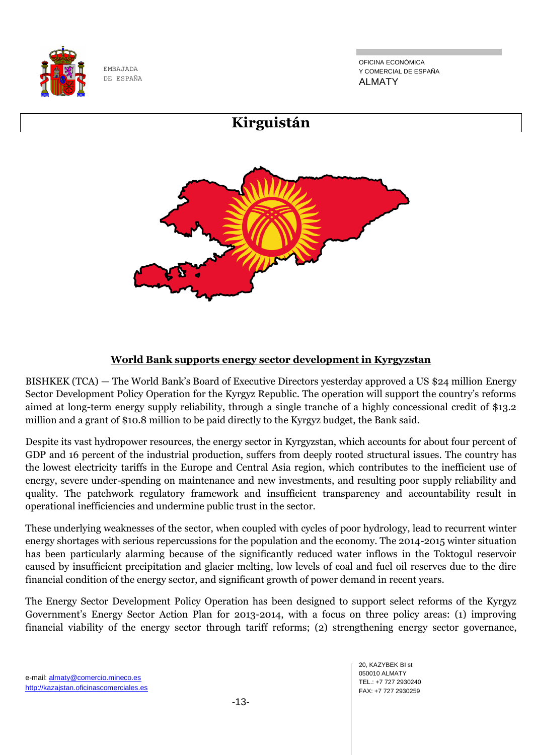

OFICINA ECONÓMICA Y COMERCIAL DE ESPAÑA ALMATY



# **World Bank supports energy sector development in Kyrgyzstan**

BISHKEK (TCA) — The World Bank's Board of Executive Directors yesterday approved a US \$24 million Energy Sector Development Policy Operation for the Kyrgyz Republic. The operation will support the country's reforms aimed at long-term energy supply reliability, through a single tranche of a highly concessional credit of \$13.2 million and a grant of \$10.8 million to be paid directly to the Kyrgyz budget, the Bank said.

Despite its vast hydropower resources, the energy sector in Kyrgyzstan, which accounts for about four percent of GDP and 16 percent of the industrial production, suffers from deeply rooted structural issues. The country has the lowest electricity tariffs in the Europe and Central Asia region, which contributes to the inefficient use of energy, severe under-spending on maintenance and new investments, and resulting poor supply reliability and quality. The patchwork regulatory framework and insufficient transparency and accountability result in operational inefficiencies and undermine public trust in the sector.

These underlying weaknesses of the sector, when coupled with cycles of poor hydrology, lead to recurrent winter energy shortages with serious repercussions for the population and the economy. The 2014-2015 winter situation has been particularly alarming because of the significantly reduced water inflows in the Toktogul reservoir caused by insufficient precipitation and glacier melting, low levels of coal and fuel oil reserves due to the dire financial condition of the energy sector, and significant growth of power demand in recent years.

The Energy Sector Development Policy Operation has been designed to support select reforms of the Kyrgyz Government's Energy Sector Action Plan for 2013-2014, with a focus on three policy areas: (1) improving financial viability of the energy sector through tariff reforms; (2) strengthening energy sector governance,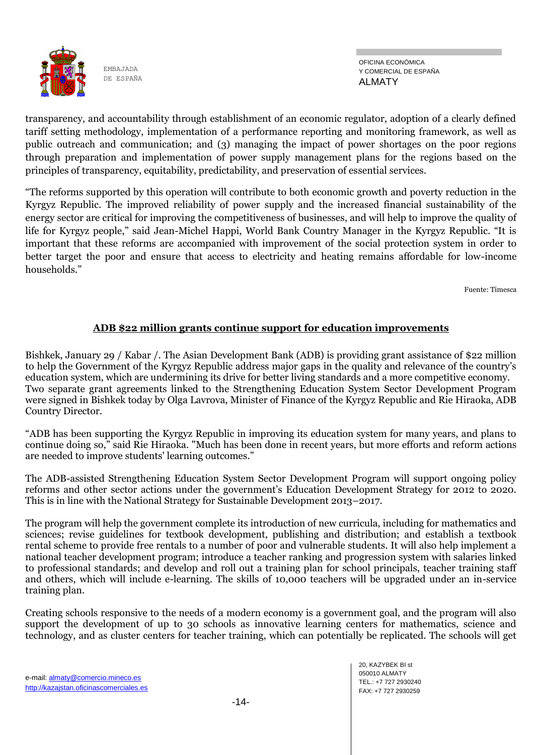

OFICINA ECONÓMICA Y COMERCIAL DE ESPAÑA ALMATY

transparency, and accountability through establishment of an economic regulator, adoption of a clearly defined tariff setting methodology, implementation of a performance reporting and monitoring framework, as well as public outreach and communication; and (3) managing the impact of power shortages on the poor regions through preparation and implementation of power supply management plans for the regions based on the principles of transparency, equitability, predictability, and preservation of essential services.

―The reforms supported by this operation will contribute to both economic growth and poverty reduction in the Kyrgyz Republic. The improved reliability of power supply and the increased financial sustainability of the energy sector are critical for improving the competitiveness of businesses, and will help to improve the quality of life for Kyrgyz people," said Jean-Michel Happi, World Bank Country Manager in the Kyrgyz Republic. "It is important that these reforms are accompanied with improvement of the social protection system in order to better target the poor and ensure that access to electricity and heating remains affordable for low-income households."

Fuente: Timesca

#### **ADB \$22 million grants continue support for education improvements**

Bishkek, January 29 / Kabar /. The Asian Development Bank (ADB) is providing grant assistance of \$22 million to help the Government of the Kyrgyz Republic address major gaps in the quality and relevance of the country's education system, which are undermining its drive for better living standards and a more competitive economy. Two separate grant agreements linked to the Strengthening Education System Sector Development Program were signed in Bishkek today by Olga Lavrova, Minister of Finance of the Kyrgyz Republic and Rie Hiraoka, ADB Country Director.

―ADB has been supporting the Kyrgyz Republic in improving its education system for many years, and plans to continue doing so," said Rie Hiraoka. "Much has been done in recent years, but more efforts and reform actions are needed to improve students' learning outcomes."

The ADB-assisted Strengthening Education System Sector Development Program will support ongoing policy reforms and other sector actions under the government's Education Development Strategy for 2012 to 2020. This is in line with the National Strategy for Sustainable Development 2013–2017.

The program will help the government complete its introduction of new curricula, including for mathematics and sciences; revise guidelines for textbook development, publishing and distribution; and establish a textbook rental scheme to provide free rentals to a number of poor and vulnerable students. It will also help implement a national teacher development program; introduce a teacher ranking and progression system with salaries linked to professional standards; and develop and roll out a training plan for school principals, teacher training staff and others, which will include e-learning. The skills of 10,000 teachers will be upgraded under an in-service training plan.

Creating schools responsive to the needs of a modern economy is a government goal, and the program will also support the development of up to 30 schools as innovative learning centers for mathematics, science and technology, and as cluster centers for teacher training, which can potentially be replicated. The schools will get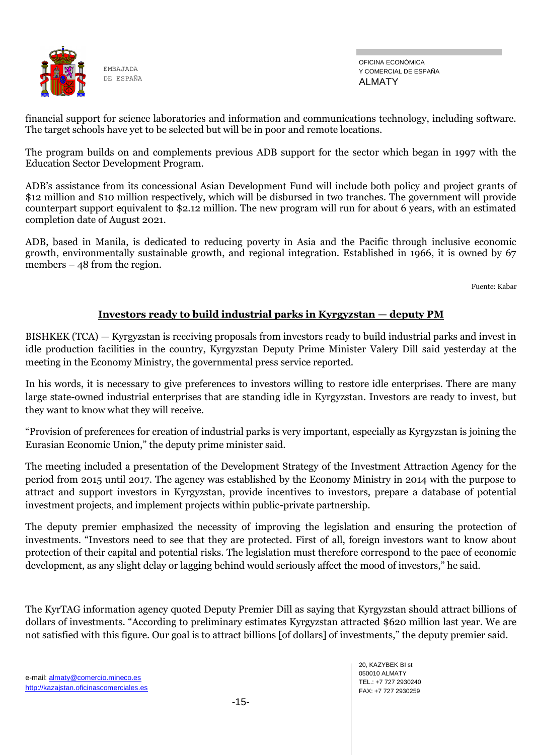

OFICINA ECONÓMICA Y COMERCIAL DE ESPAÑA ALMATY

financial support for science laboratories and information and communications technology, including software. The target schools have yet to be selected but will be in poor and remote locations.

The program builds on and complements previous ADB support for the sector which began in 1997 with the Education Sector Development Program.

ADB's assistance from its concessional Asian Development Fund will include both policy and project grants of \$12 million and \$10 million respectively, which will be disbursed in two tranches. The government will provide counterpart support equivalent to \$2.12 million. The new program will run for about 6 years, with an estimated completion date of August 2021.

ADB, based in Manila, is dedicated to reducing poverty in Asia and the Pacific through inclusive economic growth, environmentally sustainable growth, and regional integration. Established in 1966, it is owned by 67 members – 48 from the region.

Fuente: Kabar

#### **Investors ready to build industrial parks in Kyrgyzstan — deputy PM**

BISHKEK (TCA) — Kyrgyzstan is receiving proposals from investors ready to build industrial parks and invest in idle production facilities in the country, Kyrgyzstan Deputy Prime Minister Valery Dill said yesterday at the meeting in the Economy Ministry, the governmental press service reported.

In his words, it is necessary to give preferences to investors willing to restore idle enterprises. There are many large state-owned industrial enterprises that are standing idle in Kyrgyzstan. Investors are ready to invest, but they want to know what they will receive.

―Provision of preferences for creation of industrial parks is very important, especially as Kyrgyzstan is joining the Eurasian Economic Union," the deputy prime minister said.

The meeting included a presentation of the Development Strategy of the Investment Attraction Agency for the period from 2015 until 2017. The agency was established by the Economy Ministry in 2014 with the purpose to attract and support investors in Kyrgyzstan, provide incentives to investors, prepare a database of potential investment projects, and implement projects within public-private partnership.

The deputy premier emphasized the necessity of improving the legislation and ensuring the protection of investments. "Investors need to see that they are protected. First of all, foreign investors want to know about protection of their capital and potential risks. The legislation must therefore correspond to the pace of economic development, as any slight delay or lagging behind would seriously affect the mood of investors," he said.

The KyrTAG information agency quoted Deputy Premier Dill as saying that Kyrgyzstan should attract billions of dollars of investments. "According to preliminary estimates Kyrgyzstan attracted \$620 million last year. We are not satisfied with this figure. Our goal is to attract billions [of dollars] of investments," the deputy premier said.

20, KAZYBEK BI st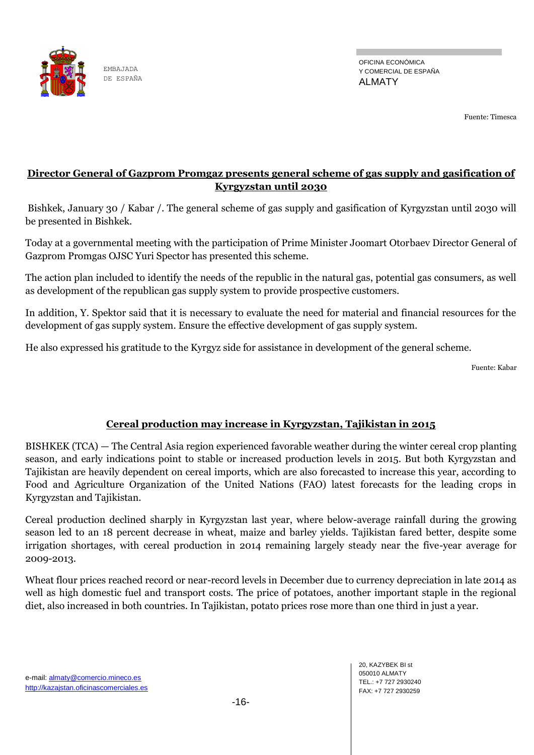

Fuente: Timesca

# **Director General of Gazprom Promgaz presents general scheme of gas supply and gasification of Kyrgyzstan until 2030**

Bishkek, January 30 / Kabar /. The general scheme of gas supply and gasification of Kyrgyzstan until 2030 will be presented in Bishkek.

Today at a governmental meeting with the participation of Prime Minister Joomart Otorbaev Director General of Gazprom Promgas OJSC Yuri Spector has presented this scheme.

The action plan included to identify the needs of the republic in the natural gas, potential gas consumers, as well as development of the republican gas supply system to provide prospective customers.

In addition, Y. Spektor said that it is necessary to evaluate the need for material and financial resources for the development of gas supply system. Ensure the effective development of gas supply system.

He also expressed his gratitude to the Kyrgyz side for assistance in development of the general scheme.

Fuente: Kabar

# **Cereal production may increase in Kyrgyzstan, Tajikistan in 2015**

BISHKEK (TCA) — The Central Asia region experienced favorable weather during the winter cereal crop planting season, and early indications point to stable or increased production levels in 2015. But both Kyrgyzstan and Tajikistan are heavily dependent on cereal imports, which are also forecasted to increase this year, according to Food and Agriculture Organization of the United Nations (FAO) latest forecasts for the leading crops in Kyrgyzstan and Tajikistan.

Cereal production declined sharply in Kyrgyzstan last year, where below-average rainfall during the growing season led to an 18 percent decrease in wheat, maize and barley yields. Tajikistan fared better, despite some irrigation shortages, with cereal production in 2014 remaining largely steady near the five-year average for 2009-2013.

Wheat flour prices reached record or near-record levels in December due to currency depreciation in late 2014 as well as high domestic fuel and transport costs. The price of potatoes, another important staple in the regional diet, also increased in both countries. In Tajikistan, potato prices rose more than one third in just a year.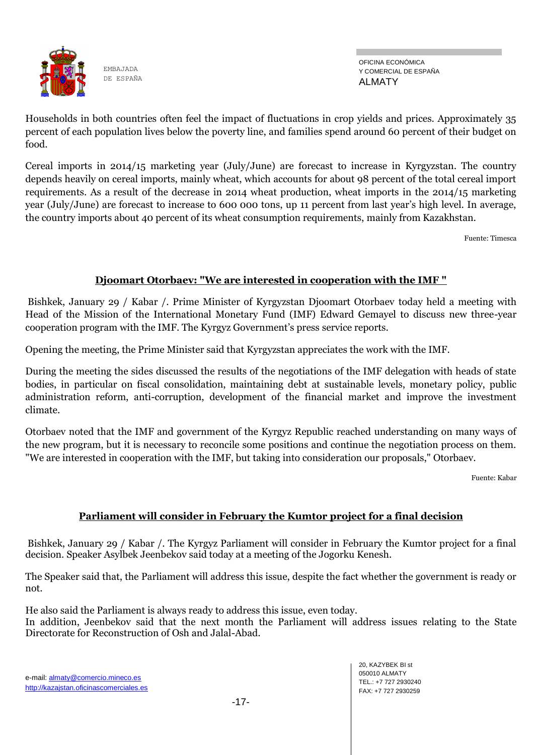

OFICINA ECONÓMICA Y COMERCIAL DE ESPAÑA ALMATY

Households in both countries often feel the impact of fluctuations in crop yields and prices. Approximately 35 percent of each population lives below the poverty line, and families spend around 60 percent of their budget on food.

Cereal imports in 2014/15 marketing year (July/June) are forecast to increase in Kyrgyzstan. The country depends heavily on cereal imports, mainly wheat, which accounts for about 98 percent of the total cereal import requirements. As a result of the decrease in 2014 wheat production, wheat imports in the 2014/15 marketing year (July/June) are forecast to increase to 600 000 tons, up 11 percent from last year's high level. In average, the country imports about 40 percent of its wheat consumption requirements, mainly from Kazakhstan.

Fuente: Timesca

## **Djoomart Otorbaev: "We are interested in cooperation with the IMF "**

Bishkek, January 29 / Kabar /. Prime Minister of Kyrgyzstan Djoomart Otorbaev today held a meeting with Head of the Mission of the International Monetary Fund (IMF) Edward Gemayel to discuss new three-year cooperation program with the IMF. The Kyrgyz Government's press service reports.

Opening the meeting, the Prime Minister said that Kyrgyzstan appreciates the work with the IMF.

During the meeting the sides discussed the results of the negotiations of the IMF delegation with heads of state bodies, in particular on fiscal consolidation, maintaining debt at sustainable levels, monetary policy, public administration reform, anti-corruption, development of the financial market and improve the investment climate.

Otorbaev noted that the IMF and government of the Kyrgyz Republic reached understanding on many ways of the new program, but it is necessary to reconcile some positions and continue the negotiation process on them. "We are interested in cooperation with the IMF, but taking into consideration our proposals," Otorbaev.

Fuente: Kabar

#### **Parliament will consider in February the Kumtor project for a final decision**

Bishkek, January 29 / Kabar /. The Kyrgyz Parliament will consider in February the Kumtor project for a final decision. Speaker Asylbek Jeenbekov said today at a meeting of the Jogorku Kenesh.

The Speaker said that, the Parliament will address this issue, despite the fact whether the government is ready or not.

He also said the Parliament is always ready to address this issue, even today.

In addition, Jeenbekov said that the next month the Parliament will address issues relating to the State Directorate for Reconstruction of Osh and Jalal-Abad.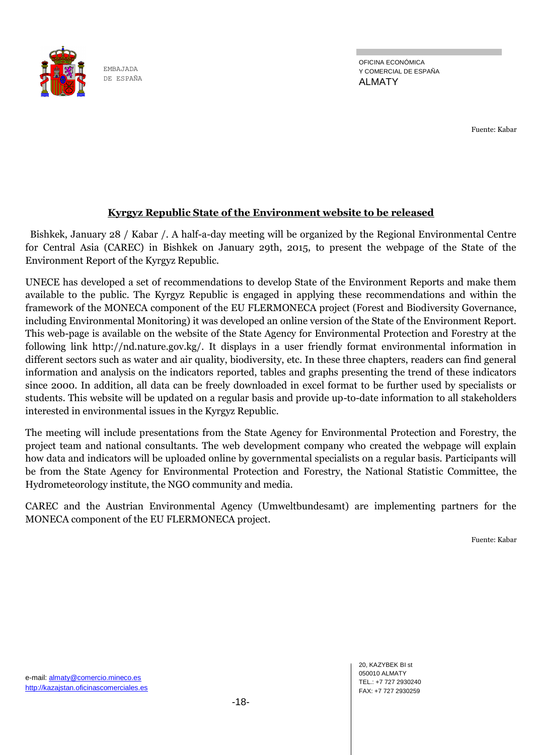

OFICINA ECONÓMICA Y COMERCIAL DE ESPAÑA ALMATY

Fuente: Kabar

## **Kyrgyz Republic State of the Environment website to be released**

 Bishkek, January 28 / Kabar /. A half-a-day meeting will be organized by the Regional Environmental Centre for Central Asia (CAREC) in Bishkek on January 29th, 2015, to present the webpage of the State of the Environment Report of the Kyrgyz Republic.

UNECE has developed a set of recommendations to develop State of the Environment Reports and make them available to the public. The Kyrgyz Republic is engaged in applying these recommendations and within the framework of the MONECA component of the EU FLERMONECA project (Forest and Biodiversity Governance, including Environmental Monitoring) it was developed an online version of the State of the Environment Report. This web-page is available on the website of the State Agency for Environmental Protection and Forestry at the following link http://nd.nature.gov.kg/. It displays in a user friendly format environmental information in different sectors such as water and air quality, biodiversity, etc. In these three chapters, readers can find general information and analysis on the indicators reported, tables and graphs presenting the trend of these indicators since 2000. In addition, all data can be freely downloaded in excel format to be further used by specialists or students. This website will be updated on a regular basis and provide up-to-date information to all stakeholders interested in environmental issues in the Kyrgyz Republic.

The meeting will include presentations from the State Agency for Environmental Protection and Forestry, the project team and national consultants. The web development company who created the webpage will explain how data and indicators will be uploaded online by governmental specialists on a regular basis. Participants will be from the State Agency for Environmental Protection and Forestry, the National Statistic Committee, the Hydrometeorology institute, the NGO community and media.

CAREC and the Austrian Environmental Agency (Umweltbundesamt) are implementing partners for the MONECA component of the EU FLERMONECA project.

Fuente: Kabar

20, KAZYBEK BI st 050010 ALMATY TEL.: +7 727 2930240 FAX: +7 727 2930259

e-mail: almaty@comercio.mineco.es http://kazajstan.oficinascomerciales.es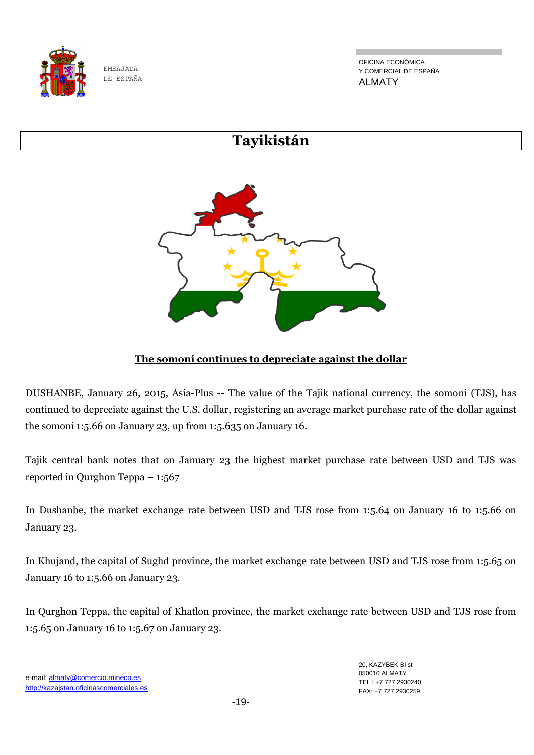

OFICINA ECONÓMICA Y COMERCIAL DE ESPAÑA ALMATY

# **Tayikistán**



# **The somoni continues to depreciate against the dollar**

DUSHANBE, January 26, 2015, Asia-Plus -- The value of the Tajik national currency, the somoni (TJS), has continued to depreciate against the U.S. dollar, registering an average market purchase rate of the dollar against the somoni 1:5.66 on January 23, up from 1:5.635 on January 16.

Tajik central bank notes that on January 23 the highest market purchase rate between USD and TJS was reported in Qurghon Teppa – 1:567

In Dushanbe, the market exchange rate between USD and TJS rose from 1:5.64 on January 16 to 1:5.66 on January 23.

In Khujand, the capital of Sughd province, the market exchange rate between USD and TJS rose from 1:5.65 on January 16 to 1:5.66 on January 23.

In Qurghon Teppa, the capital of Khatlon province, the market exchange rate between USD and TJS rose from 1:5.65 on January 16 to 1:5.67 on January 23.

-19-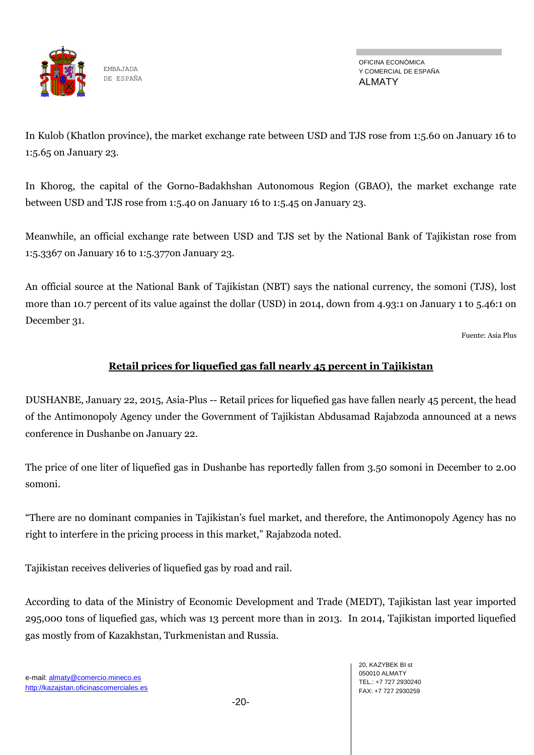

OFICINA ECONÓMICA Y COMERCIAL DE ESPAÑA ALMATY

In Kulob (Khatlon province), the market exchange rate between USD and TJS rose from 1:5.60 on January 16 to 1:5.65 on January 23.

In Khorog, the capital of the Gorno-Badakhshan Autonomous Region (GBAO), the market exchange rate between USD and TJS rose from 1:5.40 on January 16 to 1:5.45 on January 23.

Meanwhile, an official exchange rate between USD and TJS set by the National Bank of Tajikistan rose from 1:5.3367 on January 16 to 1:5.377on January 23.

An official source at the National Bank of Tajikistan (NBT) says the national currency, the somoni (TJS), lost more than 10.7 percent of its value against the dollar (USD) in 2014, down from 4.93:1 on January 1 to 5.46:1 on December 31.

Fuente: Asia Plus

## **Retail prices for liquefied gas fall nearly 45 percent in Tajikistan**

DUSHANBE, January 22, 2015, Asia-Plus -- Retail prices for liquefied gas have fallen nearly 45 percent, the head of the Antimonopoly Agency under the Government of Tajikistan Abdusamad Rajabzoda announced at a news conference in Dushanbe on January 22.

The price of one liter of liquefied gas in Dushanbe has reportedly fallen from 3.50 somoni in December to 2.00 somoni.

―There are no dominant companies in Tajikistan's fuel market, and therefore, the Antimonopoly Agency has no right to interfere in the pricing process in this market," Rajabzoda noted.

Tajikistan receives deliveries of liquefied gas by road and rail.

According to data of the Ministry of Economic Development and Trade (MEDT), Tajikistan last year imported 295,000 tons of liquefied gas, which was 13 percent more than in 2013. In 2014, Tajikistan imported liquefied gas mostly from of Kazakhstan, Turkmenistan and Russia.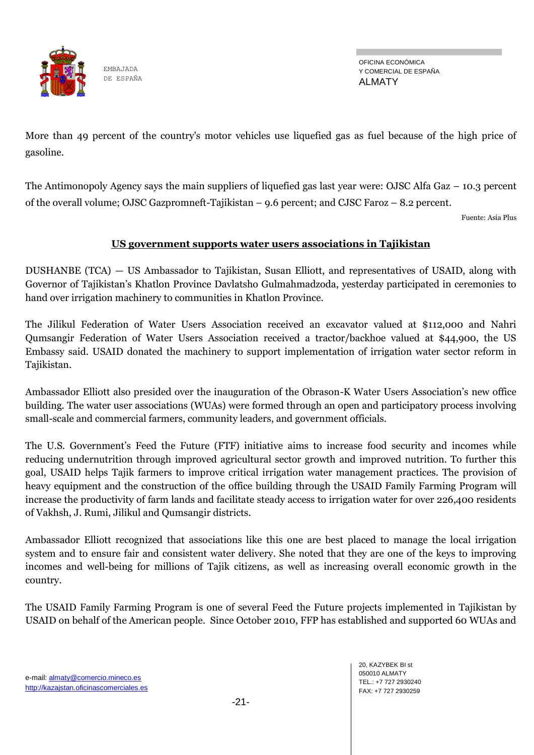

OFICINA ECONÓMICA Y COMERCIAL DE ESPAÑA ALMATY

More than 49 percent of the country's motor vehicles use liquefied gas as fuel because of the high price of gasoline.

The Antimonopoly Agency says the main suppliers of liquefied gas last year were: OJSC Alfa Gaz – 10.3 percent of the overall volume; OJSC Gazpromneft-Tajikistan – 9.6 percent; and CJSC Faroz – 8.2 percent.

Fuente: Asia Plus

# **US government supports water users associations in Tajikistan**

DUSHANBE (TCA) — US Ambassador to Tajikistan, Susan Elliott, and representatives of USAID, along with Governor of Tajikistan's Khatlon Province Davlatsho Gulmahmadzoda, yesterday participated in ceremonies to hand over irrigation machinery to communities in Khatlon Province.

The Jilikul Federation of Water Users Association received an excavator valued at \$112,000 and Nahri Qumsangir Federation of Water Users Association received a tractor/backhoe valued at \$44,900, the US Embassy said. USAID donated the machinery to support implementation of irrigation water sector reform in Tajikistan.

Ambassador Elliott also presided over the inauguration of the Obrason-K Water Users Association's new office building. The water user associations (WUAs) were formed through an open and participatory process involving small-scale and commercial farmers, community leaders, and government officials.

The U.S. Government's Feed the Future (FTF) initiative aims to increase food security and incomes while reducing undernutrition through improved agricultural sector growth and improved nutrition. To further this goal, USAID helps Tajik farmers to improve critical irrigation water management practices. The provision of heavy equipment and the construction of the office building through the USAID Family Farming Program will increase the productivity of farm lands and facilitate steady access to irrigation water for over 226,400 residents of Vakhsh, J. Rumi, Jilikul and Qumsangir districts.

Ambassador Elliott recognized that associations like this one are best placed to manage the local irrigation system and to ensure fair and consistent water delivery. She noted that they are one of the keys to improving incomes and well-being for millions of Tajik citizens, as well as increasing overall economic growth in the country.

The USAID Family Farming Program is one of several Feed the Future projects implemented in Tajikistan by USAID on behalf of the American people. Since October 2010, FFP has established and supported 60 WUAs and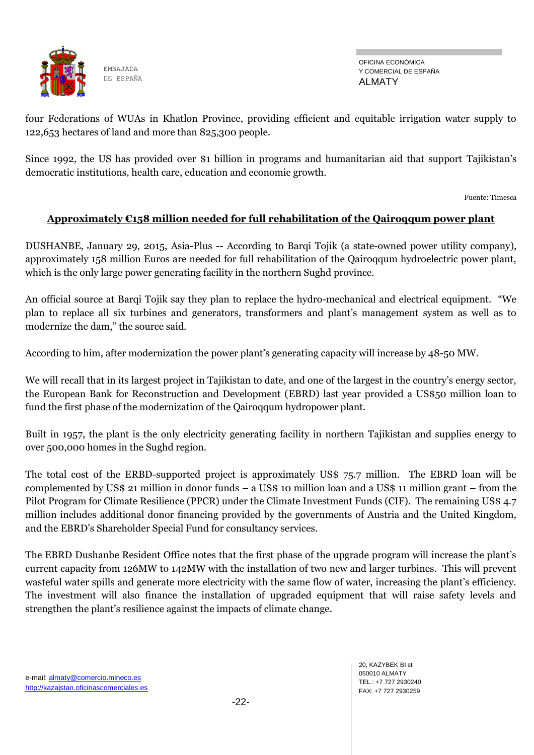

OFICINA ECONÓMICA Y COMERCIAL DE ESPAÑA ALMATY

four Federations of WUAs in Khatlon Province, providing efficient and equitable irrigation water supply to 122,653 hectares of land and more than 825,300 people.

Since 1992, the US has provided over \$1 billion in programs and humanitarian aid that support Tajikistan's democratic institutions, health care, education and economic growth.

Fuente: Timesca

# **Approximately €158 million needed for full rehabilitation of the Qairoqqum power plant**

DUSHANBE, January 29, 2015, Asia-Plus -- According to Barqi Tojik (a state-owned power utility company), approximately 158 million Euros are needed for full rehabilitation of the Qairoqqum hydroelectric power plant, which is the only large power generating facility in the northern Sughd province.

An official source at Barqi Tojik say they plan to replace the hydro-mechanical and electrical equipment. "We plan to replace all six turbines and generators, transformers and plant's management system as well as to modernize the dam," the source said.

According to him, after modernization the power plant's generating capacity will increase by 48-50 MW.

We will recall that in its largest project in Tajikistan to date, and one of the largest in the country's energy sector, the European Bank for Reconstruction and Development (EBRD) last year provided a US\$50 million loan to fund the first phase of the modernization of the Qairoqqum hydropower plant.

Built in 1957, the plant is the only electricity generating facility in northern Tajikistan and supplies energy to over 500,000 homes in the Sughd region.

The total cost of the ERBD-supported project is approximately US\$ 75.7 million. The EBRD loan will be complemented by US\$ 21 million in donor funds – a US\$ 10 million loan and a US\$ 11 million grant – from the Pilot Program for Climate Resilience (PPCR) under the Climate Investment Funds (CIF). The remaining US\$ 4.7 million includes additional donor financing provided by the governments of Austria and the United Kingdom, and the EBRD's Shareholder Special Fund for consultancy services.

The EBRD Dushanbe Resident Office notes that the first phase of the upgrade program will increase the plant's current capacity from 126MW to 142MW with the installation of two new and larger turbines. This will prevent wasteful water spills and generate more electricity with the same flow of water, increasing the plant's efficiency. The investment will also finance the installation of upgraded equipment that will raise safety levels and strengthen the plant's resilience against the impacts of climate change.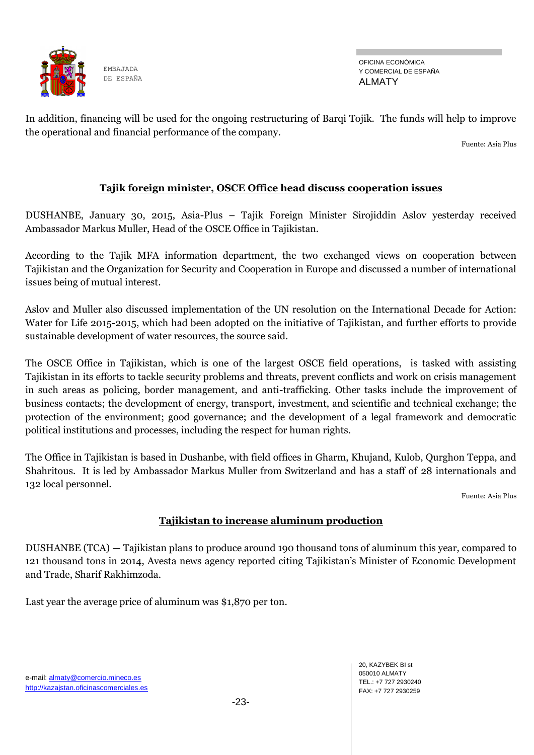

OFICINA ECONÓMICA Y COMERCIAL DE ESPAÑA ALMATY

In addition, financing will be used for the ongoing restructuring of Barqi Tojik. The funds will help to improve the operational and financial performance of the company.

Fuente: Asia Plus

## **Tajik foreign minister, OSCE Office head discuss cooperation issues**

DUSHANBE, January 30, 2015, Asia-Plus – Tajik Foreign Minister Sirojiddin Aslov yesterday received Ambassador Markus Muller, Head of the OSCE Office in Tajikistan.

According to the Tajik MFA information department, the two exchanged views on cooperation between Tajikistan and the Organization for Security and Cooperation in Europe and discussed a number of international issues being of mutual interest.

Aslov and Muller also discussed implementation of the UN resolution on the International Decade for Action: Water for Life 2015-2015, which had been adopted on the initiative of Tajikistan, and further efforts to provide sustainable development of water resources, the source said.

The OSCE Office in Tajikistan, which is one of the largest OSCE field operations, is tasked with assisting Tajikistan in its efforts to tackle security problems and threats, prevent conflicts and work on crisis management in such areas as policing, border management, and anti-trafficking. Other tasks include the improvement of business contacts; the development of energy, transport, investment, and scientific and technical exchange; the protection of the environment; good governance; and the development of a legal framework and democratic political institutions and processes, including the respect for human rights.

The Office in Tajikistan is based in Dushanbe, with field offices in Gharm, Khujand, Kulob, Qurghon Teppa, and Shahritous. It is led by Ambassador Markus Muller from Switzerland and has a staff of 28 internationals and 132 local personnel.

Fuente: Asia Plus

#### **Tajikistan to increase aluminum production**

DUSHANBE (TCA) — Tajikistan plans to produce around 190 thousand tons of aluminum this year, compared to 121 thousand tons in 2014, Avesta news agency reported citing Tajikistan's Minister of Economic Development and Trade, Sharif Rakhimzoda.

Last year the average price of aluminum was \$1,870 per ton.